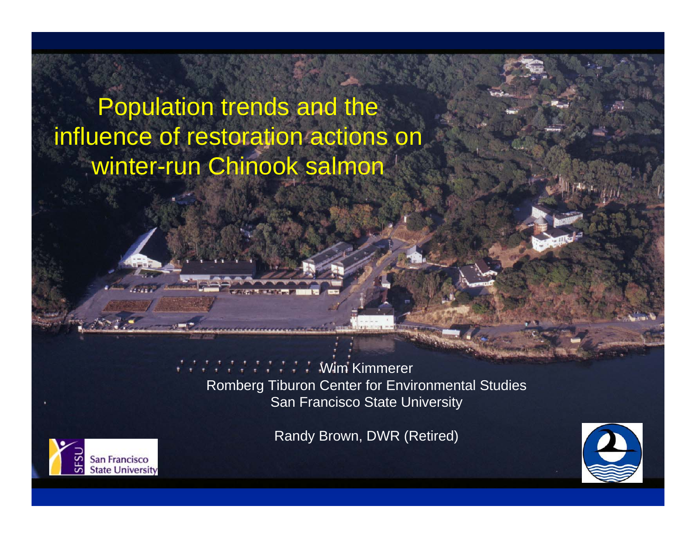# Population trends and the influence of restoration actions on winter-run Chinook salmon

Wim Kimmerer Romberg Tiburon Center for Environmental Studies San Francisco State University

Randy Brown, DWR (Retired)



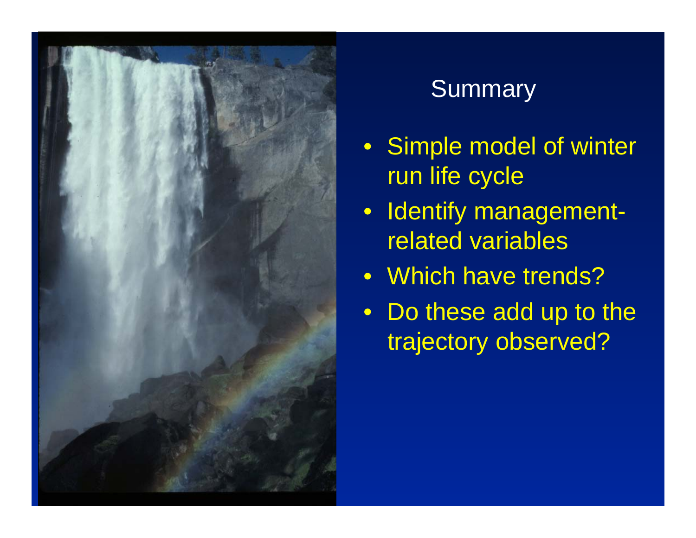

# Summary

- Simple model of winter run life cycle
- Identify managementrelated variables
- Which have trends?
- Do these add up to the trajectory observed?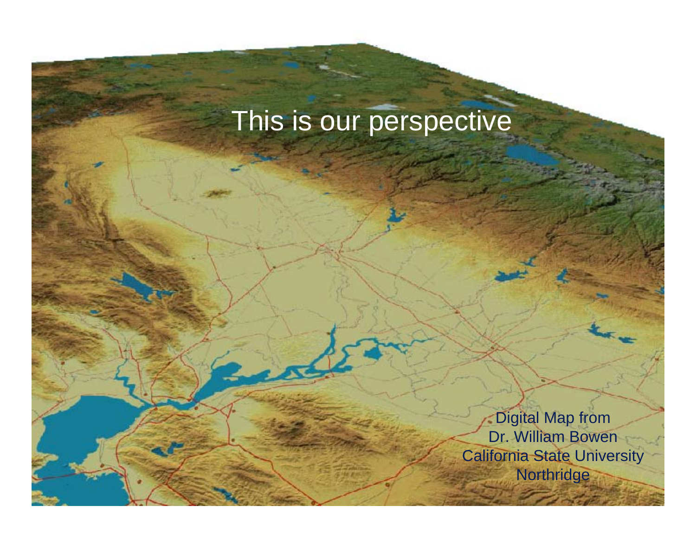# This is our perspective

Digital Map from Dr. William Bowen California State University **Northridge**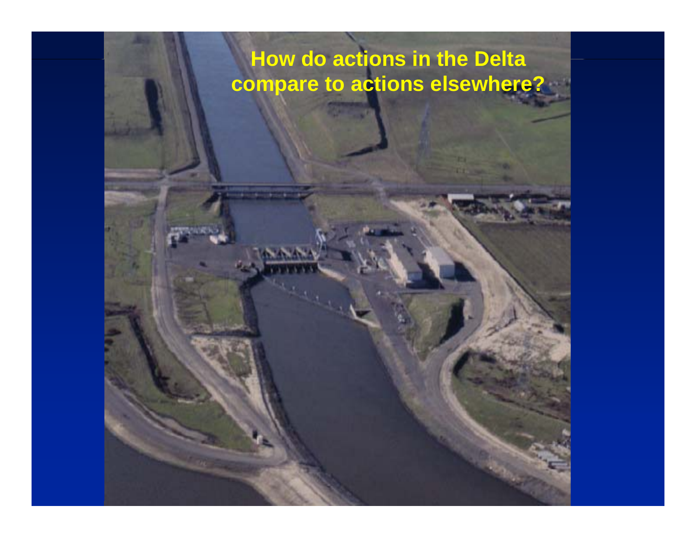#### **How do actions in the Delta compare to actions elsewhere?**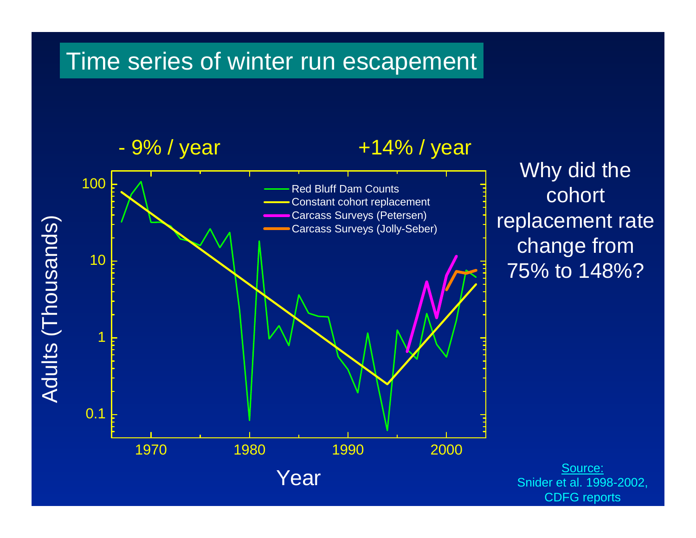#### Time series of winter run escapement

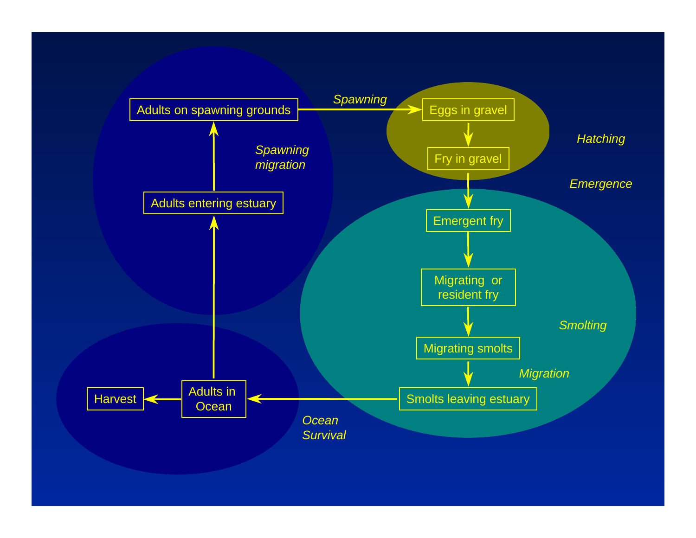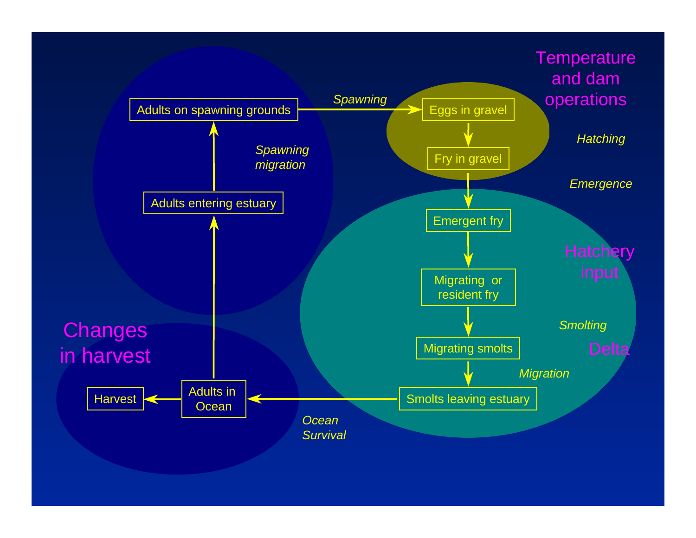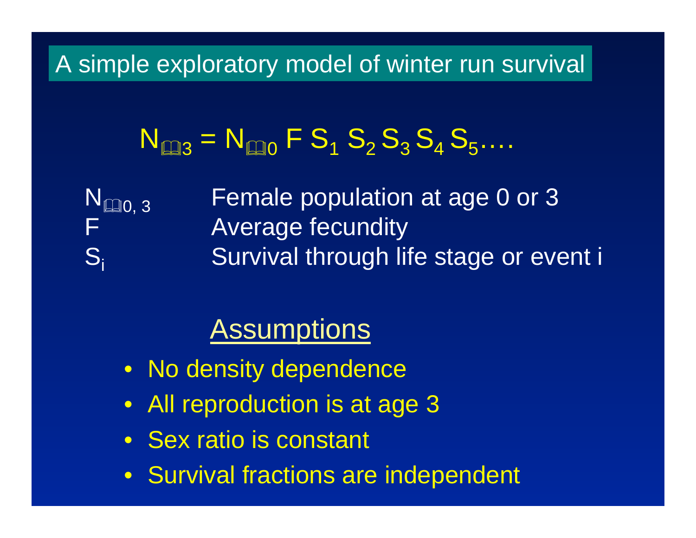### A simple exploratory model of winter run survival

# $N_{43} = N_{40} F S_1 S_2 S_3 S_4 S_5...$

N Si

Female population at age 0 or 3 F Average fecundity Survival through life stage or event i

# **Assumptions**

- No density dependence
- All reproduction is at age 3
- Sex ratio is constant
- Survival fractions are independent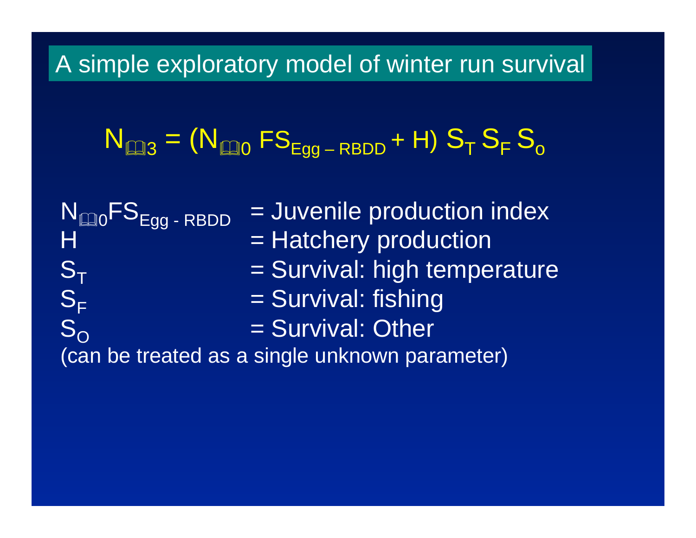#### A simple exploratory model of winter run survival

$$
N_{\text{max}} = (N_{\text{max}}\,FS_{\text{egg-RBDD}} + H)\,S_T\,S_F\,S_o
$$

 $\mathsf{N}_\boxtimes$ = Juvenile production index H = Hatchery production  $\mathbf{S_{T}}$  = Survival: high temperature  $\mathsf{S}_\mathsf{F}$  = Survival: fishing  $\rm S_{\rm O}$  = Survival: Other (can be treated as a single unknown parameter)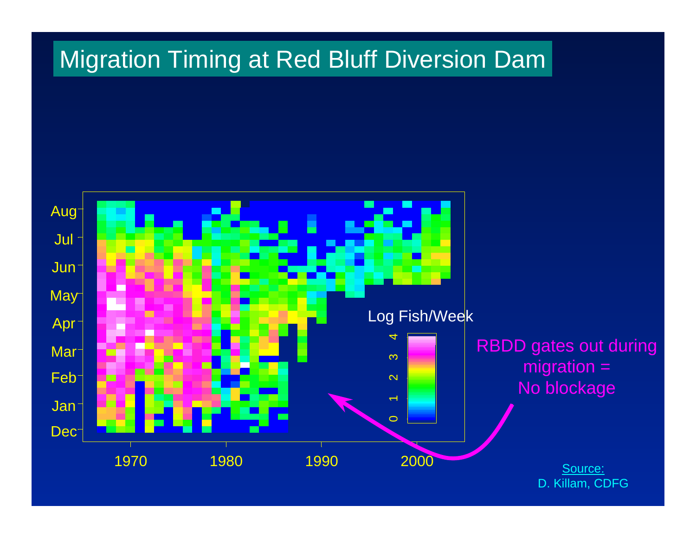### **Migration Timing at Red Bluff Diversion Dam**

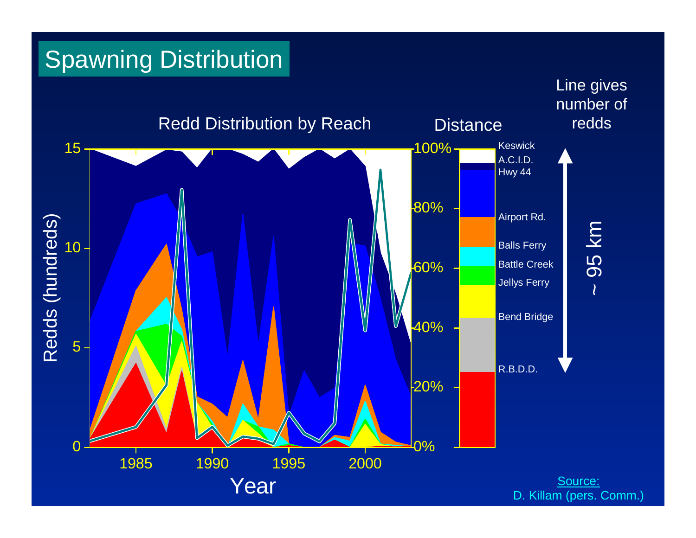# Spawning Distribution

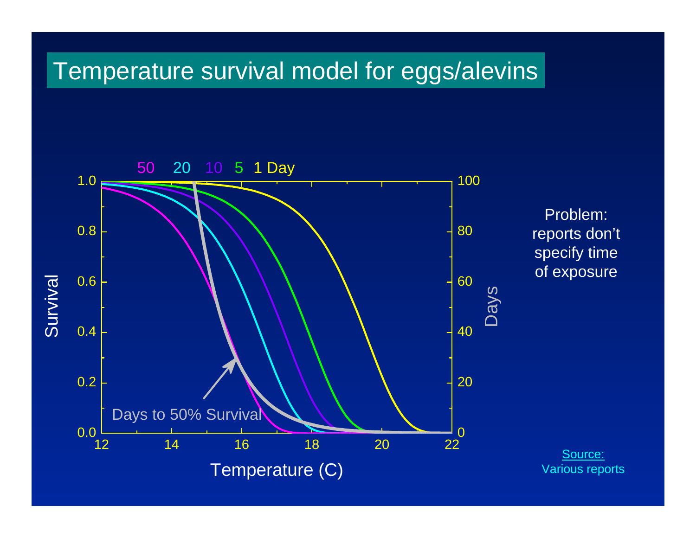#### Temperature survival model for eggs/alevins

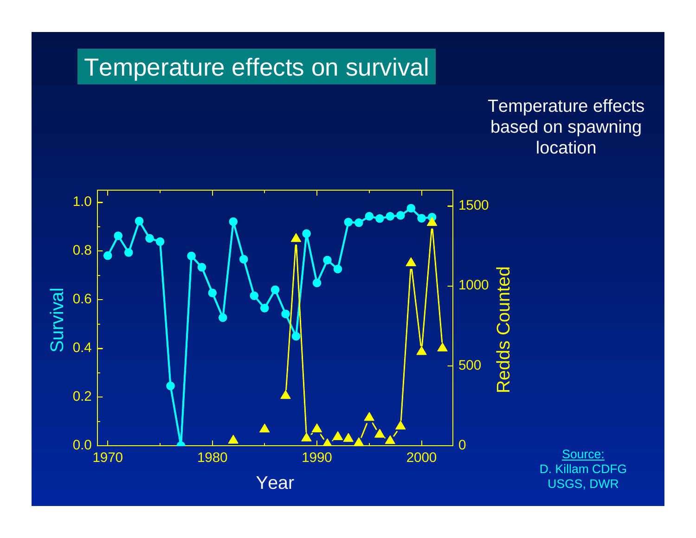#### Temperature effects on survival

#### Temperature effects based on spawning location

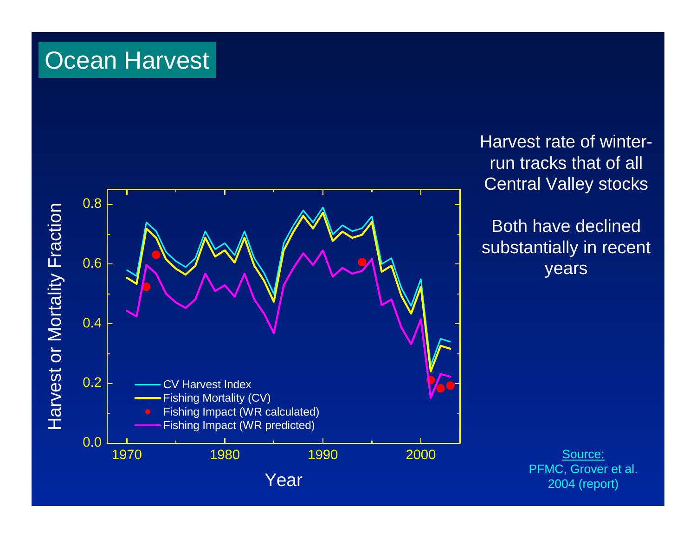# **Ocean Harvest**



Harvest rate of winterrun tracks that of all Central Valley stocks

Both have declined substantially in recent years

> Source: PFMC, Grover et al. 2004 (report)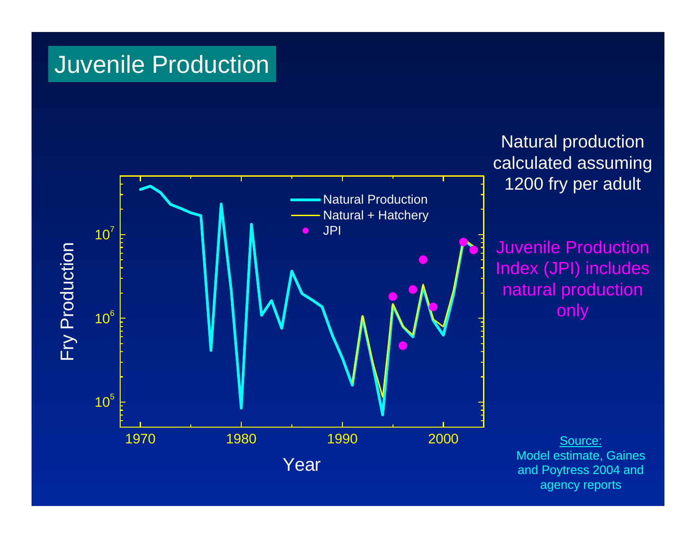### Juvenile Production



Natural production calculated assuming 1200 fry per adult

Juvenile Production Index (JPI) includes natural production only

> Source: Model estimate, Gaines and Poytress 2004 and agency reports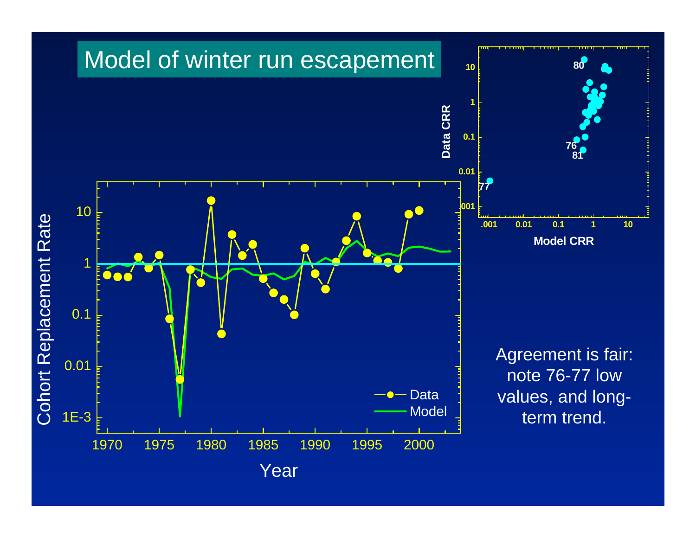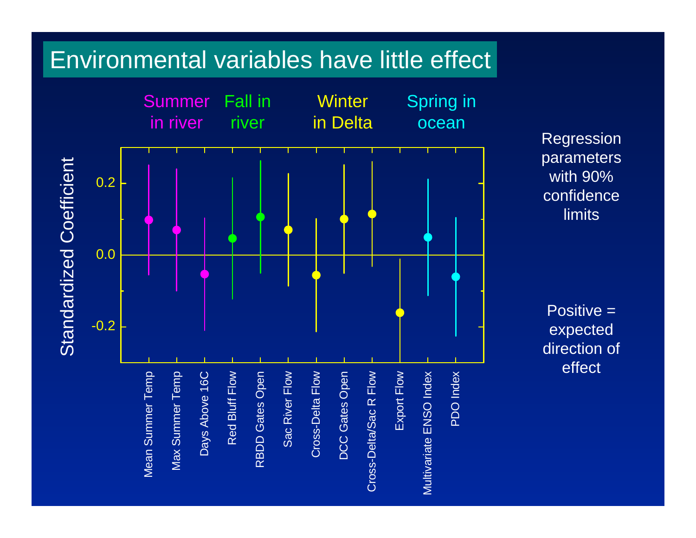### Environmental variables have little effect



Regression parameters with 90% confidence limits

Positive = expected direction of effect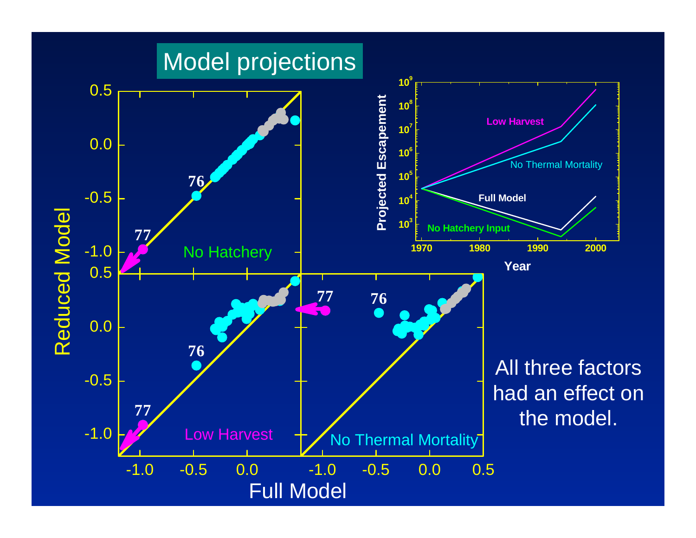